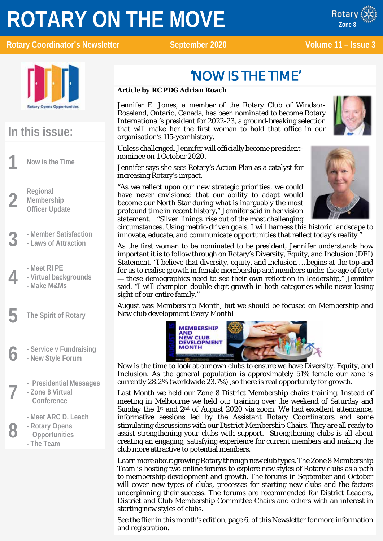# **ROTARY ON THE MOVE**

x ROTARY Rotary Coordinator's Newsletter September 2020 Volume 11 – Issue 3

Rotary **Zone 8**



# **In this issue:**

**1 Now is the Time**

**2 Regional**<br>**2 Members**<br>**Officer Up Membership Officer Update**

- **3 - Member Satisfaction**
- **- Laws of Attraction**
	-
- **4 - Meet RI PE - Virtual backgrounds**
	- **- Make M&Ms**
- **5 The Spirit of Rotary**
- **6 - Service v Fundraising - New Style Forum**
	-
	- **7 - Presidential Messages**
	- **- Zone 8 Virtual Conference**
		-
- **8 -** Meet ARC D. Leach<br>**8 -** Rotary Opens<br>**8 Connectunities - Rotary Opens Opportunities - The Team**

# 'NOW IS THE TIME'

### *Article by RC PDG Adrian Roach*

Jennifer E. Jones, a member of the Rotary Club of Windsor-Roseland, Ontario, Canada, has been nominated to become Rotary International's president for 2022-23, a ground-breaking selection that will make her the first woman to hold that office in our organisation's 115-year history.



Unless challenged, Jennifer will officially become presidentnominee on 1 October 2020.

Jennifer says she sees Rotary's Action Plan as a catalyst for increasing Rotary's impact.

"As we reflect upon our new strategic priorities, we could have never envisioned that our ability to adapt would become our North Star during what is inarguably the most profound time in recent history," Jennifer said in her vision statement. "Silver linings rise out of the most challenging



circumstances. Using metric-driven goals, I will harness this historic landscape to innovate, educate, and communicate opportunities that reflect today's reality."

As the first woman to be nominated to be president, Jennifer understands how important it is to follow through on Rotary's Diversity, Equity, and Inclusion (DEI) Statement. "I believe that diversity, equity, and inclusion … begins at the top and for us to realise growth in female membership and members under the age of forty — these demographics need to see their own reflection in leadership," Jennifer said. "I will champion double-digit growth in both categories while never losing sight of our entire family."

August was Membership Month, but we should be focused on Membership and New club development Every Month!



Now is the time to look at our own clubs to ensure we have Diversity, Equity, and Inclusion. As the general population is approximately 51% female our zone is currently 28.2% (worldwide 23.7%) ,so there is real opportunity for growth.

Last Month we held our Zone 8 District Membership chairs training. Instead of meeting in Melbourne we held our training over the weekend of Saturday and Sunday the 1<sup>st</sup> and  $2<sup>nd</sup>$  of August 2020 via zoom. We had excellent attendance, informative sessions led by the Assistant Rotary Coordinators and some stimulating discussions with our District Membership Chairs. They are all ready to assist strengthening your clubs with support. Strengthening clubs is all about creating an engaging, satisfying experience for current members and making the club more attractive to potential members.

Learn more about growing Rotary through new club types. The Zone 8 Membership Team is hosting two online forums to explore new styles of Rotary clubs as a path to membership development and growth. The forums in September and October will cover new types of clubs, processes for starting new clubs and the factors underpinning their success. The forums are recommended for District Leaders, District and Club Membership Committee Chairs and others with an interest in starting new styles of clubs.

See the flier in this month's edition, page 6, of this Newsletter for more information and registration.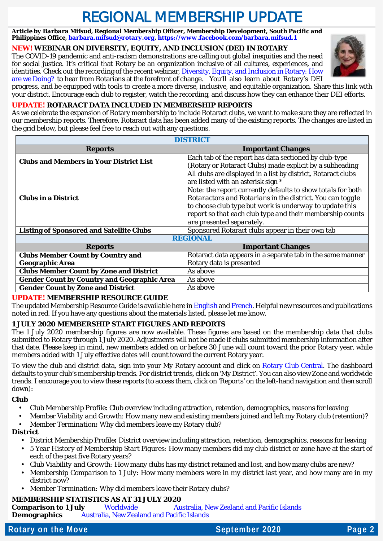# REGIONAL MEMBERSHIP UPDATE

*Article by Barbara Mifsud, Regional Membership Officer, Membership Development, South Pacific and Philippines Office[, barbara.mifsud@rotary.org,](mailto:barbara.mifsud@rotary.org)<https://www.facebook.com/barbara.mifsud.1>*

### **NEW! WEBINAR ON DIVERSITY, EQUITY, AND INCLUSION (DEI) IN ROTARY**

The COVID-19 pandemic and anti-racism demonstrations are calling out global inequities and the need for social justice. It's critical that Rotary be an organization inclusive of all cultures, experiences, and identities. Check out the recording of the recent webinar, Diversity, Equity, and Inclusion in Rotary: How [are we Doing?](https://vimeo.com/channels/rotarymembership/438708307) to hear from Rotarians at the forefront of change. You'll also learn about Rotary's DEI progress, and be equipped with tools to create a more diverse, inclusive, and equitable organization. Share this link with



your district. Encourage each club to register, watch the recording, and discuss how they can enhance their DEI efforts. **UPDATE! ROTARACT DATA INCLUDED IN MEMBERSHIP REPORTS**

As we celebrate the expansion of Rotary membership to include Rotaract clubs, we want to make sure they are reflected in our membership reports. Therefore, Rotaract data has been added many of the existing reports. The changes are listed in the grid below, but please feel free to reach out with any questions.

| <b>DISTRICT</b>                                    |                                                                                                                                                                                                                                 |  |  |  |  |  |  |
|----------------------------------------------------|---------------------------------------------------------------------------------------------------------------------------------------------------------------------------------------------------------------------------------|--|--|--|--|--|--|
| <b>Reports</b>                                     | <b>Important Changes</b>                                                                                                                                                                                                        |  |  |  |  |  |  |
| <b>Clubs and Members in Your District List</b>     | Each tab of the report has data sectioned by club-type                                                                                                                                                                          |  |  |  |  |  |  |
|                                                    | (Rotary or Rotaract Clubs) made explicit by a subheading                                                                                                                                                                        |  |  |  |  |  |  |
| <b>Clubs in a District</b>                         | All clubs are displayed in a list by district, Rotaract clubs<br>are listed with an asterisk sign *<br>Note: the report currently defaults to show totals for both<br>Rotaractors and Rotarians in the district. You can toggle |  |  |  |  |  |  |
|                                                    | to choose club type but work is underway to update this<br>report so that each club type and their membership counts<br>are presented separately.                                                                               |  |  |  |  |  |  |
| <b>Listing of Sponsored and Satellite Clubs</b>    | Sponsored Rotaract clubs appear in their own tab                                                                                                                                                                                |  |  |  |  |  |  |
| <b>REGIONAL</b>                                    |                                                                                                                                                                                                                                 |  |  |  |  |  |  |
| <b>Reports</b>                                     | <b>Important Changes</b>                                                                                                                                                                                                        |  |  |  |  |  |  |
| <b>Clubs Member Count by Country and</b>           | Rotaract data appears in a separate tab in the same manner                                                                                                                                                                      |  |  |  |  |  |  |
| <b>Geographic Area</b>                             | Rotary data is presented                                                                                                                                                                                                        |  |  |  |  |  |  |
| <b>Clubs Member Count by Zone and District</b>     | As above                                                                                                                                                                                                                        |  |  |  |  |  |  |
| <b>Gender Count by Country and Geographic Area</b> | As above                                                                                                                                                                                                                        |  |  |  |  |  |  |
| <b>Gender Count by Zone and District</b>           | As above                                                                                                                                                                                                                        |  |  |  |  |  |  |

### **UPDATE! MEMBERSHIP RESOURCE GUIDE**

The updated Membership Resource Guide is available here in [English](https://www.dropbox.com/s/xypssam3mnzmyp1/MembershipResourceGuide_Zone%208%20-%20August%202020.docx?dl=0) an[d French.](https://www.dropbox.com/scl/fi/2vxs7g75bjg2giytqv6f9/MembershipResourceGuide-French-Zone-8-August-2020.docx?dl=0&rlkey=yhd6jh2qxf26q4xv5giapri3l) Helpful new resources and publications noted in red. If you have any questions about the materials listed, please let me know.

### **1 JULY 2020 MEMBERSHIP START FIGURES AND REPORTS**

The 1 July 2020 membership figures are now available. These figures are based on the membership data that clubs submitted to Rotary through 1 July 2020. Adjustments will not be made if clubs submitted membership information after that date. Please keep in mind, new members added on or before 30 June will count toward the prior Rotary year, while members added with 1 July effective dates will count toward the current Rotary year.

To view the club and district data, sign into your My Rotary account and click on [Rotary Club Central.](http://rotary.msgfocus.com/c/1JUZjqYiFtsS1bd4K7eJVkMn) The dashboard defaults to your club's membership trends. For district trends, click on 'My District'. You can also view Zone and worldwide trends. I encourage you to view these reports (to access them, click on 'Reports' on the left-hand navigation and then scroll down):

### **Club**

- *Club Membership Profile*: Club overview including attraction, retention, demographics, reasons for leaving
- *Member Viability and Growth*: How many new and existing members joined and left my Rotary club (retention)?
- *Member Termination***:** Why did members leave my Rotary club?

### **District**

- *District Membership Profile***:** District overview including attraction, retention, demographics, reasons for leaving
- *5 Year History of Membership Start Figures:* How many members did my club district or zone have at the start of each of the past five Rotary years?
- *Club Viability and Growth:* How many clubs has my district retained and lost, and how many clubs are new?
- *Membership Comparison to 1 July*: How many members were in my district last year, and how many are in my district now?
- *Member Termination:* Why did members leave their Rotary clubs?

### **MEMBERSHIP STATISTICS AS AT 31 JULY 2020**

**Comparison to 1 July [Worldwide](http://msgfocus.rotary.org/files/amf_highroad_solution/project_188/Comparison_to_start_figures_July_2020.pdf) Australia, [New Zealand and Pacific Islands](https://www.dropbox.com/s/f85vv8ixbhaylax/20200817%20-%20Zone%208%20-%20Comparison_to_1_July%20as%20at%2031%20July%202020.pdf?dl=0) Demographics** [Australia, New Zealand and Pacific Islands](https://www.dropbox.com/s/0ycrx582qayg8ub/20200817%20-%20Zone%208%20-%20DISTRICT_MEMBERSHIP_PROGRESS_TO_GOAL%20as%20at%2031%20July%202020.pdf?dl=0)

### **Rotary on the Move 2020 Rotary Page 2**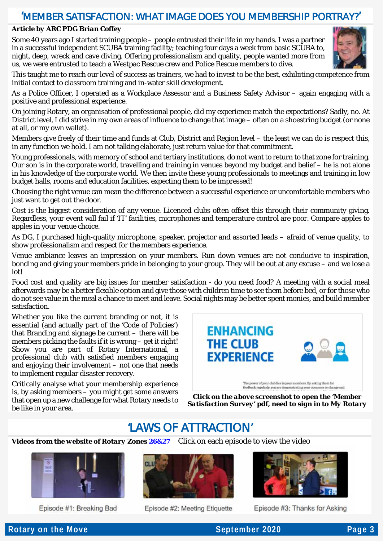### 'MEMBER SATISFACTION: WHAT IMAGE DOES YOU MEMBERSHIP PORTRAY?'

#### *Article by ARC PDG Brian Coffey*

Some 40 years ago I started training people – people entrusted their life in my hands. I was a partner in a successful independent SCUBA training facility; teaching four days a week from basic SCUBA to, night, deep, wreck and cave diving. Offering professionalism and quality, people wanted more from us, we were entrusted to teach a Westpac Rescue crew and Police Rescue members to dive.



This taught me to reach our level of success as trainers, we had to invest to be the best, exhibiting competence from initial contact to classroom training and in-water skill development.

As a Police Officer, I operated as a Workplace Assessor and a Business Safety Advisor – again engaging with a positive and professional experience.

On joining Rotary, an organisation of professional people, did my experience match the expectations? Sadly, no. At District level, I did strive in my own areas of influence to change that image – often on a shoestring budget (or none at all, or my own wallet).

Members give freely of their time and funds at Club, District and Region level – the least we can do is respect this, in any function we hold. I am not talking elaborate, just return value for that commitment.

Young professionals, with memory of school and tertiary institutions, do not want to return to that zone for training. Our son is in the corporate world, travelling and training in venues beyond my budget and belief – he is not alone in his knowledge of the corporate world. We then invite these young professionals to meetings and training in low budget halls, rooms and education facilities, expecting them to be impressed!

Choosing the right venue can mean the difference between a successful experience or uncomfortable members who just want to get out the door.

Cost is the biggest consideration of any venue. Licenced clubs often offset this through their community giving. Regardless, your event will fail if 'IT' facilities, microphones and temperature control are poor. Compare apples to apples in your venue choice.

As DG, I purchased high-quality microphone, speaker, projector and assorted leads – afraid of venue quality, to show professionalism and respect for the members experience.

Venue ambiance leaves an impression on your members. Run down venues are not conducive to inspiration, bonding and giving your members pride in belonging to your group. They will be out at any excuse – and we lose a lot!

Food cost and quality are big issues for member satisfaction - do you need food? A meeting with a social meal afterwards may be a better flexible option and give those with children time to see them before bed, or for those who do not see value in the meal a chance to meet and leave. Social nights may be better spent monies, and build member satisfaction.

Whether you like the current branding or not, it is essential (and actually part of the 'Code of Policies') that Branding and signage be current – there will be members picking the faults if it is wrong – get it right! Show you are part of Rotary International, a professional club with satisfied members engaging and enjoying their involvement – not one that needs to implement regular disaster recovery.

Critically analyse what your membership experience is, by asking members – you might get some answers that open up a new challenge for what Rotary needs to be like in your area.



*Click on the above screenshot to open the 'Member Satisfaction Survey' pdf, need to sign in to My Rotary*

### 'LAWS OF ATTRACTION'

*Videos from the website of Rotary Zones [26&27](https://zone2627.org/)*Click on each episo[de to view the video](https://youtu.be/ovvYrvmNbEQ)



Episode #1: Breaking Bad



Episode #2: Meeting Etiquette



Episode #3: Thanks for Asking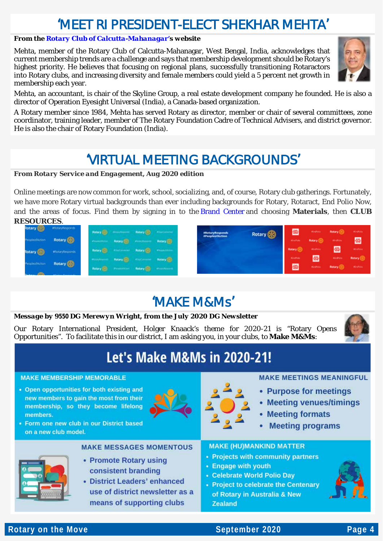# 'MEET RI PRESIDENT-ELECT SHEKHAR MEHTA'

### *From th[e Rotary Club of Calcutta-Mahanagar'](https://rotarycalmahanagar.org.in/)s website*

Mehta, member of the Rotary Club of Calcutta-Mahanagar, West Bengal, India, acknowledges that current membership trends are a challenge and says that membership development should be Rotary's highest priority. He believes that focusing on regional plans, successfully transitioning Rotaractors into Rotary clubs, and increasing diversity and female members could yield a 5 percent net growth in membership each year.



Mehta, an accountant, is chair of the Skyline Group, a real estate development company he founded. He is also a director of Operation Eyesight Universal (India), a Canada-based organization.

A Rotary member since 1984, Mehta has served Rotary as director, member or chair of several committees, zone coordinator, training leader, member of The Rotary Foundation Cadre of Technical Advisers, and district governor. He is also the chair of Rotary Foundation (India).

## 'VIRTUAL MEETING BACKGROUNDS'

#### *From Rotary Service and Engagement, Aug 2020 edition*

Online meetings are now common for work, school, socializing, and, of course, Rotary club gatherings. Fortunately, we have more Rotary virtual backgrounds than ever including backgrounds for Rotary, Rotaract, End Polio Now, and the areas of focus. Find them by signing in to the [Brand Center](http://msgfocus.rotary.org/c/1243qyrh3FKj76ARwzERqeDSnE9w) and choosing **Materials**, then **CLUB RESOURCES**.

| Rotary <b>(CD</b>         | #RotaryResponds              |  | <b>Retail of the County of Street</b>                | #RotaryResponds        | Rotary <b>B</b> | 魯                 | <b>Medium</b>   | Rotary (6)     |
|---------------------------|------------------------------|--|------------------------------------------------------|------------------------|-----------------|-------------------|-----------------|----------------|
| eoplechAction             | Rotary <b>OD</b>             |  | Processor Retail and Party Controllers, Detroit Co., | <b>FreopleofAction</b> |                 | <b>Mindfields</b> | Rotary (R)      | <b>Hindhow</b> |
|                           | #RotaryResponds              |  | Robert (20) - Francisco - Robert (20) - Francisco -  |                        |                 | Rotary @          | stadium.        | 冊              |
| reopleofAction            | Rotary <b>OD</b>             |  | <b>Northern Robert (Street Hotel Property)</b>       |                        |                 | <b>Washing</b>    | 罍               | <b>Kindhow</b> |
| and the state of the con- | <b>TRANSPORTANCE IN 1972</b> |  | <b>Reary @ Reserved Reary @ Reserved By</b>          |                        |                 | 優                 | <b>Kindhire</b> | Rotary (B)     |

# 'MAKE M&Ms'

### *Message by 9550 DG Merewyn Wright, from the July 2020 DG Newsletter*

Our Rotary International President, Holger Knaack's theme for 2020-21 is "Rotary Opens Opportunities". To facilitate this in our district, I am asking you, in your clubs, to **Make M&Ms**:



# **Let's Make M&Ms in 2020-21!**

#### **MAKE MEMBERSHIP MEMORABLE**

• Open opportunities for both existing and new members to gain the most from their membership, so they become lifelong **members** 

• Form one new club in our District based





### **MAKE MEETINGS MEANINGFUL**

- Purpose for meetings
- Meeting venues/timings
- Meeting formats
- Meeting programs



on a new club model.

### **MAKE MESSAGES MOMENTOUS**

- Promote Rotary using consistent branding
- District Leaders' enhanced use of district newsletter as a means of supporting clubs

### **MAKE (HU)MANKIND MATTER**

- Projects with community partners
- Engage with youth
- Celebrate World Polio Dav
- Project to celebrate the Centenary of Rotary in Australia & New **Zealand**



### **Rotary on the Move Construction Construction Construction September 2020** Page 4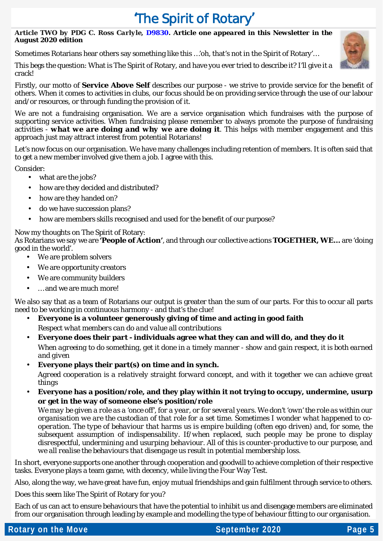# 'The Spirit of Rotary'

### *Article TWO by PDG C. Ross Carlyle, [D9830.](https://rotary9830.org.au/) Article one appeared in this Newsletter in the August 2020 edition*

Sometimes Rotarians hear others say something like this …'oh, that's not in the Spirit of Rotary'…

This begs the question: What is The Spirit of Rotary, and have you ever tried to describe it? I'll give it a crack!



We are not a fundraising organisation. We are a service organisation which fundraises with the purpose of supporting service activities. When fundraising please remember to always promote the purpose of fundraising activities - *what we are doing and why we are doing it*. This helps with member engagement and this approach just may attract interest from potential Rotarians!

Let's now focus on our organisation. We have many challenges including retention of members. It is often said that to get a new member involved give them a job. I agree with this.

Consider:

- $\sim$ what are the jobs?
- how are they decided and distributed?
- how are they handed on? J.
- do we have succession plans?
- how are members skills recognised and used for the benefit of our purpose?  $\overline{a}$

### Now my thoughts on The Spirit of Rotary:

As Rotarians we say we are *'People of Action'*, and through our collective actions **TOGETHER, WE…** are 'doing good in the world'.

- We are problem solvers
- We are opportunity creators
- We are community builders t.
- … and we are much more!

We also say that as a team of Rotarians our output is greater than the sum of our parts. For this to occur all parts need to be working in continuous harmony - and that's the clue!

- **Everyone is a volunteer generously giving of time and acting in good faith** *Respect what members can do and value all contributions*
- **Everyone does their part - individuals agree what they can and will do, and they do it** *When agreeing to do something, get it done in a timely manner - show and gain respect, it is both earned and given*
- **Everyone plays their part(s) on time and in synch.**

*Agreed cooperation is a relatively straight forward concept, and with it together we can achieve great things*

**Everyone has a position/role, and they play within it not trying to occupy, undermine, usurp or get in the way of someone else's position/role**

*We may be given a role as a 'once off', for a year, or for several years. We don't 'own' the role as within our organisation we are the custodian of that role for a set time. Sometimes I wonder what happened to cooperation. The type of behaviour that harms us is empire building (often ego driven) and, for some, the subsequent assumption of indispensability. If/when replaced, such people may be prone to display disrespectful, undermining and usurping behaviour. All of this is counter-productive to our purpose, and we all realise the behaviours that disengage us result in potential membership loss.*

In short, everyone supports one another through cooperation and goodwill to achieve completion of their respective tasks. Everyone plays a team game, with decency, while living the Four Way Test.

Also, along the way, we have great have fun, enjoy mutual friendships and gain fulfilment through service to others.

Does this seem like The Spirit of Rotary for you?

Each of us can act to ensure behaviours that have the potential to inhibit us and disengage members are eliminated from our organisation through leading by example and modelling the type of behaviour fitting to our organisation.

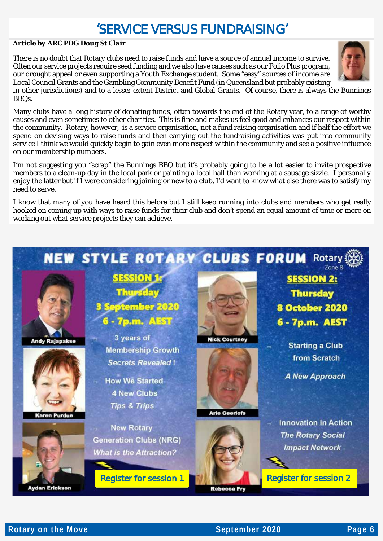# 'SERVICE VERSUS FUNDRAISING'

#### *Article by ARC PDG Doug St Clair*

There is no doubt that Rotary clubs need to raise funds and have a source of annual income to survive. Often our service projects require seed funding and we also have causes such as our Polio Plus program, our drought appeal or even supporting a Youth Exchange student. Some "easy" sources of income are Local Council Grants and the Gambling Community Benefit Fund (in Queensland but probably existing

in other jurisdictions) and to a lesser extent District and Global Grants. Of course, there is always the Bunnings BBQs.

Many clubs have a long history of donating funds, often towards the end of the Rotary year, to a range of worthy causes and even sometimes to other charities. This is fine and makes us feel good and enhances our respect within the community. Rotary, however, is a service organisation, not a fund raising organisation and if half the effort we spend on devising ways to raise funds and then carrying out the fundraising activities was put into community service I think we would quickly begin to gain even more respect within the community and see a positive influence on our membership numbers.

I'm not suggesting you "scrap" the Bunnings BBQ but it's probably going to be a lot easier to invite prospective members to a clean-up day in the local park or painting a local hall than working at a sausage sizzle. I personally enjoy the latter but if I were considering joining or new to a club, I'd want to know what else there was to satisfy my need to serve.

I know that many of you have heard this before but I still keep running into clubs and members who get really hooked on coming up with ways to raise funds for their club and don't spend an equal amount of time or more on working out what service projects they can achieve.







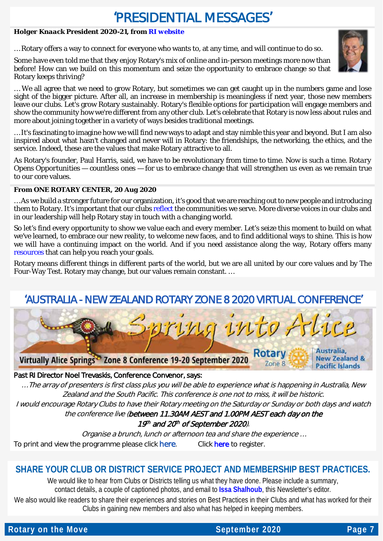# 'PRESIDENTIAL MESSAGES'

### *Holger Knaack President 2020-21, from [RI website](https://my.rotary.org/en/news-media/office-president/presidential-message)*

… Rotary offers a way to connect for everyone who wants to, at any time, and will continue to do so.

Some have even told me that they enjoy Rotary's mix of online and in-person meetings more now than before! How can we build on this momentum and seize the opportunity to embrace change so that Rotary keeps thriving?



… We all agree that we need to grow Rotary, but sometimes we can get caught up in the numbers game and lose sight of the bigger picture. After all, an increase in membership is meaningless if next year, those new members leave our clubs. Let's grow Rotary sustainably. Rotary's flexible options for participation will engage members and show the community how we're different from any other club. Let's celebrate that Rotary is now less about rules and more about joining together in a variety of ways besides traditional meetings.

… It's fascinating to imagine how we will find new ways to adapt and stay nimble this year and beyond. But I am also inspired about what hasn't changed and never will in Rotary: the friendships, the networking, the ethics, and the service. Indeed, these are the values that make Rotary attractive to all.

As Rotary's founder, Paul Harris, said, we have to be revolutionary from time to time. Now is such a time. *Rotary Opens Opportunities* — countless ones — for us to embrace change that will strengthen us even as we remain true to our core values.

### *From ONE ROTARY CENTER, 20 Aug 2020*

… As we build a stronger future for our organization, it's good that we are reaching out to new people and introducing them to Rotary. It's important that our clubs [reflect t](http://msgfocus.rotary.org/c/124vUhtwDNDJdcMNNY3105w0dOYv)he communities we serve. More diverse voices in our clubs and in our leadership will help Rotary stay in touch with a changing world.

So let's find every opportunity to show we value each and every member. Let's seize this moment to build on what we've learned, to embrace our new reality, to welcome new faces, and to find additional ways to shine. This is how we will have a continuing impact on the world. And if you need assistance along the way, Rotary offers many [resources](http://msgfocus.rotary.org/c/124vUiRaz2IAHKAqRAK3NPUztx7O) that can help you reach your goals.

Rotary means different things in different parts of the world, but we are all united by our core values and by The Four-Way Test. Rotary may change, but our values remain constant. …

### 'AUSTRALIA - NEW ZEALAND ROTARY ZONE 8 2020 VIRTUAL CONFERENCE'



Past RI Director Noel Trevaskis, Conference Convenor, says:

… The array of presenters is first class plus you will be able to experience what is happening in Australia, New Zealand and the South Pacific. This conference is one not to miss, it will be historic.

I would encourage Rotary Clubs to have their Rotary meeting on the Saturday or Sunday or both days and watch the conference live (between 11.30AM AEST and 1.00PM AEST each day on the

19th and 20th of September 2020).

Organise a brunch, lunch or afternoon tea and share the experience … To print and view the programme please click [here](https://rotarydownunder.us4.list-manage.com/track/click?u=c00758f7ac4b39c50a746d388&id=fd230011a0&e=c2b665d85d). Click here to register.

### **SHARE YOUR CLUB OR DISTRICT SERVICE PROJECT AND MEMBERSHIP BEST PRACTICES.**

We would like to hear from Clubs or Districts telling us what they have done. Please include a summary, contact details, a couple of captioned photos, and email to **[Issa Shalhoub](mailto:drissa@bigpond.com)**, this Newsletter's editor*.*

We also would like readers to share their experiences and stories on Best Practices in their Clubs and what has worked for their Clubs in gaining new members and also what has helped in keeping members.